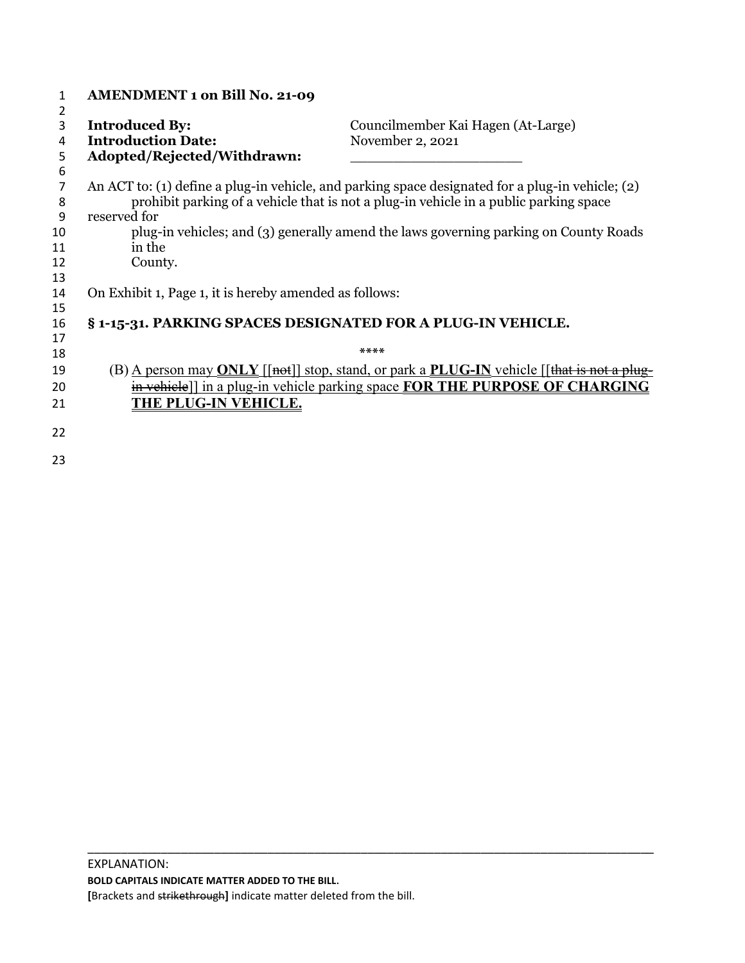| 1      | <b>AMENDMENT 1 on Bill No. 21-09</b>                                                 |                                                                                                                                                                                           |
|--------|--------------------------------------------------------------------------------------|-------------------------------------------------------------------------------------------------------------------------------------------------------------------------------------------|
| 2      |                                                                                      |                                                                                                                                                                                           |
| 3      | <b>Introduced By:</b>                                                                | Councilmember Kai Hagen (At-Large)                                                                                                                                                        |
| 4      | <b>Introduction Date:</b>                                                            | November 2, 2021                                                                                                                                                                          |
| 5      | Adopted/Rejected/Withdrawn:                                                          |                                                                                                                                                                                           |
| 6      |                                                                                      |                                                                                                                                                                                           |
| 7<br>8 |                                                                                      | An ACT to: (1) define a plug-in vehicle, and parking space designated for a plug-in vehicle; (2)<br>prohibit parking of a vehicle that is not a plug-in vehicle in a public parking space |
| 9      | reserved for                                                                         |                                                                                                                                                                                           |
| 10     | plug-in vehicles; and (3) generally amend the laws governing parking on County Roads |                                                                                                                                                                                           |
| 11     | in the                                                                               |                                                                                                                                                                                           |
| 12     | County.                                                                              |                                                                                                                                                                                           |
| 13     |                                                                                      |                                                                                                                                                                                           |
| 14     | On Exhibit 1, Page 1, it is hereby amended as follows:                               |                                                                                                                                                                                           |
| 15     |                                                                                      |                                                                                                                                                                                           |
| 16     | § 1-15-31. PARKING SPACES DESIGNATED FOR A PLUG-IN VEHICLE.                          |                                                                                                                                                                                           |
| 17     |                                                                                      |                                                                                                                                                                                           |
| 18     |                                                                                      | $****$                                                                                                                                                                                    |
| 19     |                                                                                      | (B) A person may <b>ONLY</b> [[not]] stop, stand, or park a <b>PLUG-IN</b> vehicle [[that is not a plug                                                                                   |
| 20     |                                                                                      | in vehicle]] in a plug-in vehicle parking space FOR THE PURPOSE OF CHARGING                                                                                                               |
| 21     | <b>THE PLUG-IN VEHICLE.</b>                                                          |                                                                                                                                                                                           |
| 22     |                                                                                      |                                                                                                                                                                                           |
| 23     |                                                                                      |                                                                                                                                                                                           |

\_\_\_\_\_\_\_\_\_\_\_\_\_\_\_\_\_\_\_\_\_\_\_\_\_\_\_\_\_\_\_\_\_\_\_\_\_\_\_\_\_\_\_\_\_\_\_\_\_\_\_\_\_\_\_\_\_\_\_\_\_\_\_\_\_\_\_\_\_\_\_\_\_\_\_\_\_\_\_\_\_\_\_\_\_